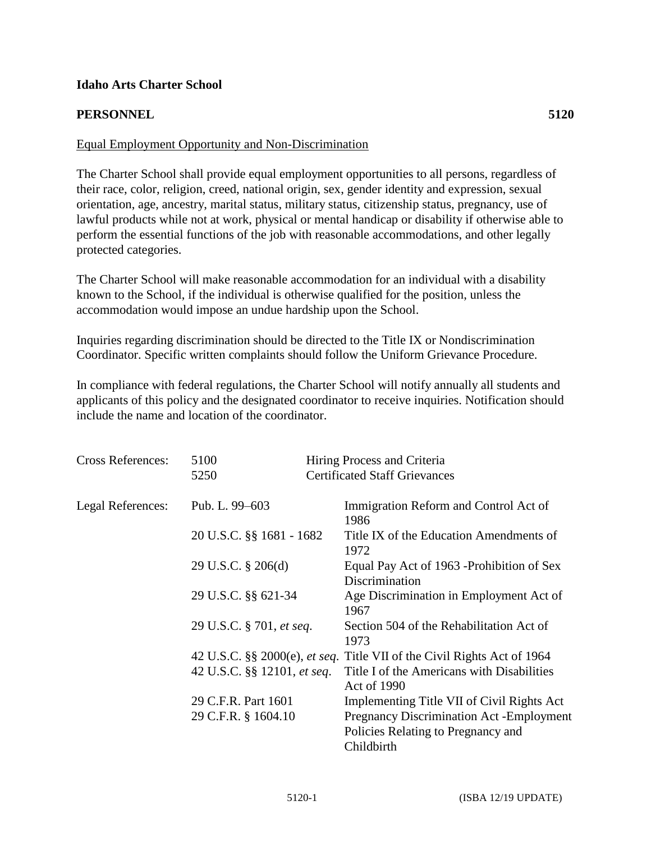## **Idaho Arts Charter School**

## **PERSONNEL 5120**

## Equal Employment Opportunity and Non-Discrimination

The Charter School shall provide equal employment opportunities to all persons, regardless of their race, color, religion, creed, national origin, sex, gender identity and expression, sexual orientation, age, ancestry, marital status, military status, citizenship status, pregnancy, use of lawful products while not at work, physical or mental handicap or disability if otherwise able to perform the essential functions of the job with reasonable accommodations, and other legally protected categories.

The Charter School will make reasonable accommodation for an individual with a disability known to the School, if the individual is otherwise qualified for the position, unless the accommodation would impose an undue hardship upon the School.

Inquiries regarding discrimination should be directed to the Title IX or Nondiscrimination Coordinator. Specific written complaints should follow the Uniform Grievance Procedure.

In compliance with federal regulations, the Charter School will notify annually all students and applicants of this policy and the designated coordinator to receive inquiries. Notification should include the name and location of the coordinator.

| <b>Cross References:</b> | 5100                        | Hiring Process and Criteria                                                                         |
|--------------------------|-----------------------------|-----------------------------------------------------------------------------------------------------|
|                          | 5250                        | <b>Certificated Staff Grievances</b>                                                                |
| Legal References:        | Pub. L. 99–603              | Immigration Reform and Control Act of<br>1986                                                       |
|                          | 20 U.S.C. §§ 1681 - 1682    | Title IX of the Education Amendments of<br>1972                                                     |
|                          | 29 U.S.C. § 206(d)          | Equal Pay Act of 1963 - Prohibition of Sex<br>Discrimination                                        |
|                          | 29 U.S.C. §§ 621-34         | Age Discrimination in Employment Act of<br>1967                                                     |
|                          | 29 U.S.C. § 701, et seq.    | Section 504 of the Rehabilitation Act of<br>1973                                                    |
|                          |                             | 42 U.S.C. §§ 2000(e), <i>et seq.</i> Title VII of the Civil Rights Act of 1964                      |
|                          | 42 U.S.C. §§ 12101, et seq. | Title I of the Americans with Disabilities<br>Act of 1990                                           |
|                          | 29 C.F.R. Part 1601         | Implementing Title VII of Civil Rights Act                                                          |
|                          | 29 C.F.R. § 1604.10         | <b>Pregnancy Discrimination Act -Employment</b><br>Policies Relating to Pregnancy and<br>Childbirth |